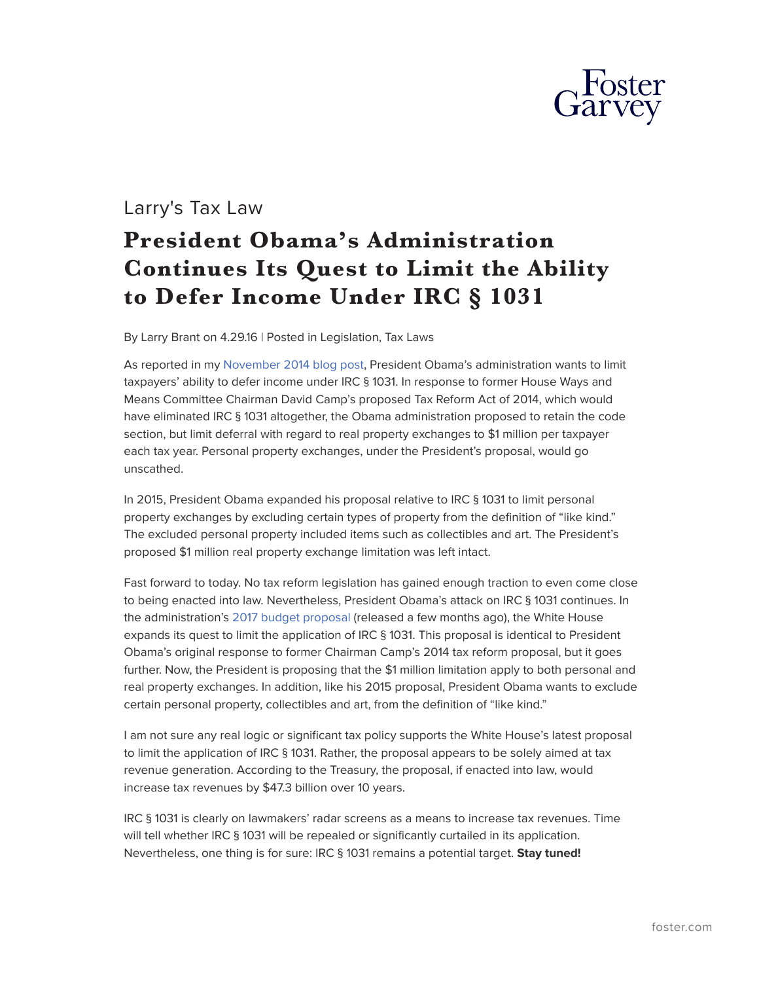

## Larry's Tax Law

## **President Obama's Administration Continues Its Quest to Limit the Ability to Defer Income Under IRC § 1031**

By Larry Brant on 4.29.16 | Posted in Legislation, Tax Laws

As reported in my [November 2014 blog post,](http://www.larrystaxlaw.com/2014/11/will-irc-%c2%a7-1031-and-a-taxpayers-ability-to-conduct-a-tax-deferred-exchange-of-qualifying-property-remain-intact-after-tax-reform/) President Obama's administration wants to limit taxpayers' ability to defer income under IRC § 1031. In response to former House Ways and Means Committee Chairman David Camp's proposed Tax Reform Act of 2014, which would have eliminated IRC § 1031 altogether, the Obama administration proposed to retain the code section, but limit deferral with regard to real property exchanges to \$1 million per taxpayer each tax year. Personal property exchanges, under the President's proposal, would go unscathed.

In 2015, President Obama expanded his proposal relative to IRC § 1031 to limit personal property exchanges by excluding certain types of property from the definition of "like kind." The excluded personal property included items such as collectibles and art. The President's proposed \$1 million real property exchange limitation was left intact.

Fast forward to today. No tax reform legislation has gained enough traction to even come close to being enacted into law. Nevertheless, President Obama's attack on IRC § 1031 continues. In the administration's [2017 budget proposal](https://www.whitehouse.gov/sites/default/files/omb/budget/fy2017/assets/budget.pdf) (released a few months ago), the White House expands its quest to limit the application of IRC § 1031. This proposal is identical to President Obama's original response to former Chairman Camp's 2014 tax reform proposal, but it goes further. Now, the President is proposing that the \$1 million limitation apply to both personal and real property exchanges. In addition, like his 2015 proposal, President Obama wants to exclude certain personal property, collectibles and art, from the definition of "like kind."

I am not sure any real logic or significant tax policy supports the White House's latest proposal to limit the application of IRC § 1031. Rather, the proposal appears to be solely aimed at tax revenue generation. According to the Treasury, the proposal, if enacted into law, would increase tax revenues by \$47.3 billion over 10 years.

IRC § 1031 is clearly on lawmakers' radar screens as a means to increase tax revenues. Time will tell whether IRC § 1031 will be repealed or significantly curtailed in its application. Nevertheless, one thing is for sure: IRC § 1031 remains a potential target. **Stay tuned!**